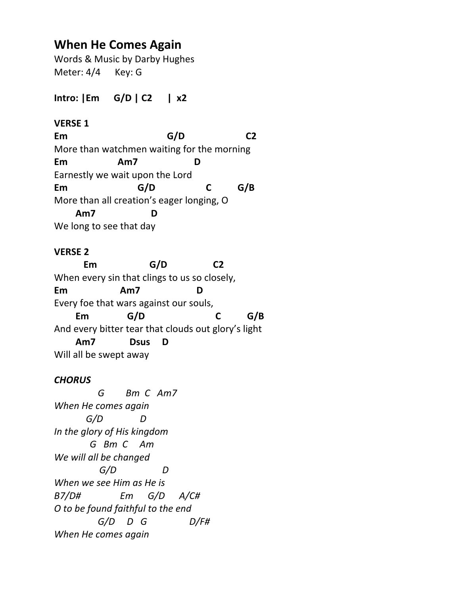# **When He Comes Again**

Words & Music by Darby Hughes Meter: 4/4 Key: G

**Intro: |Em G/D | C2 | x2**

## **VERSE 1**

**Em G/D C2** More than watchmen waiting for the morning **Em Am7 D** Earnestly we wait upon the Lord **Em G/D C G/B** More than all creation's eager longing, O  **Am7 D** We long to see that day

### **VERSE 2**

**Em G/D C2** When every sin that clings to us so closely, **Em Am7 D** Every foe that wars against our souls,  **Em G/D C G/B** And every bitter tear that clouds out glory's light  **Am7 Dsus D** Will all be swept away

### *CHORUS*

 *G Bm C Am7 When He comes again G/D D In the glory of His kingdom G Bm C Am We will all be changed G/D D When we see Him as He is B7/D# Em G/D A/C# O to be found faithful to the end G/D D G D/F# When He comes again*